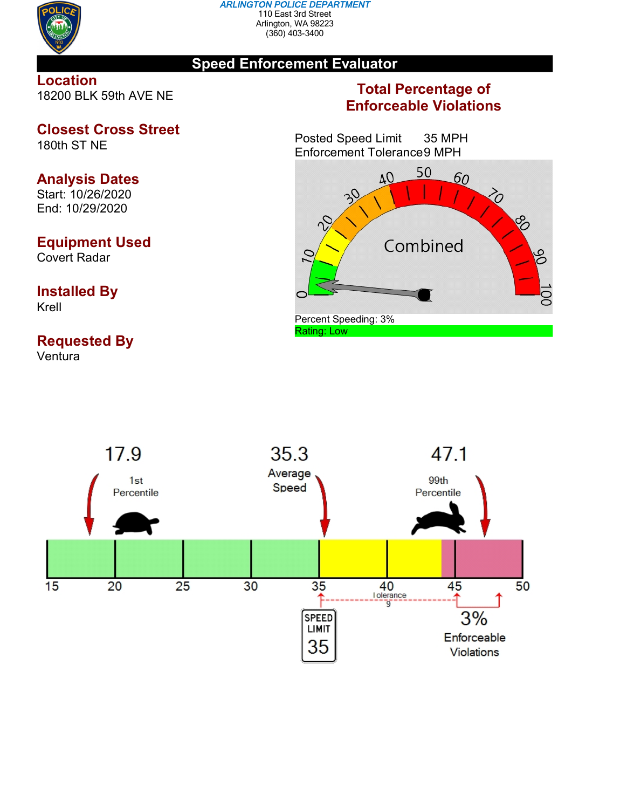

#### *ARLINGTON POLICE DEPARTMENT* 110 East 3rd Street Arlington, WA 98223 (360) 403-3400

### **Speed Enforcement Evaluator**

**Location** 18200 BLK 59th AVE NE

# **Closest Cross Street**

180th ST NE

## **Analysis Dates**

Start: 10/26/2020 End: 10/29/2020

## **Equipment Used**

Covert Radar

#### **Installed By** Krell

# **Requested By**

Ventura

### **Total Percentage of Enforceable Violations**

Posted Speed Limit 35 MPH Enforcement Tolerance9 MPH